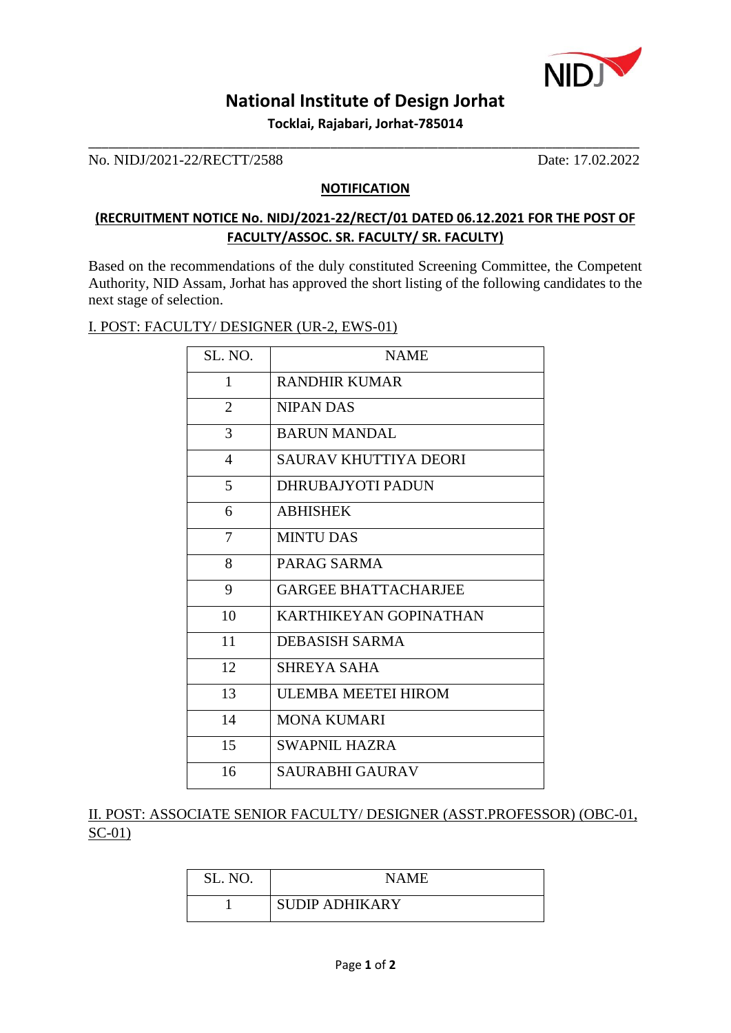

# **National Institute of Design Jorhat**

**Tocklai, Rajabari, Jorhat-785014** \_\_\_\_\_\_\_\_\_\_\_\_\_\_\_\_\_\_\_\_\_\_\_\_\_\_\_\_\_\_\_\_\_\_\_\_\_\_\_\_\_\_\_\_\_\_\_\_\_\_\_\_\_\_\_\_\_\_\_\_\_\_\_\_\_\_\_\_\_\_\_\_\_\_\_\_\_\_\_\_\_\_

No. NIDJ/2021-22/RECTT/2588 Date: 17.02.2022

#### **NOTIFICATION**

## **(RECRUITMENT NOTICE No. NIDJ/2021-22/RECT/01 DATED 06.12.2021 FOR THE POST OF FACULTY/ASSOC. SR. FACULTY/ SR. FACULTY)**

Based on the recommendations of the duly constituted Screening Committee, the Competent Authority, NID Assam, Jorhat has approved the short listing of the following candidates to the next stage of selection.

#### I. POST: FACULTY/ DESIGNER (UR-2, EWS-01)

| SL. NO.        | <b>NAME</b>                 |
|----------------|-----------------------------|
| 1              | RANDHIR KUMAR               |
| $\overline{2}$ | <b>NIPAN DAS</b>            |
| 3              | <b>BARUN MANDAL</b>         |
| $\overline{4}$ | SAURAV KHUTTIYA DEORI       |
| 5              | <b>DHRUBAJYOTI PADUN</b>    |
| 6              | <b>ABHISHEK</b>             |
| $\tau$         | <b>MINTU DAS</b>            |
| 8              | PARAG SARMA                 |
| 9              | <b>GARGEE BHATTACHARJEE</b> |
| 10             | KARTHIKEYAN GOPINATHAN      |
| 11             | DEBASISH SARMA              |
| 12             | SHREYA SAHA                 |
| 13             | ULEMBA MEETEI HIROM         |
| 14             | <b>MONA KUMARI</b>          |
| 15             | <b>SWAPNIL HAZRA</b>        |
| 16             | <b>SAURABHI GAURAV</b>      |

II. POST: ASSOCIATE SENIOR FACULTY/ DESIGNER (ASST.PROFESSOR) (OBC-01, SC-01)

| SL. NO. | NAME                  |
|---------|-----------------------|
|         | <b>SUDIP ADHIKARY</b> |